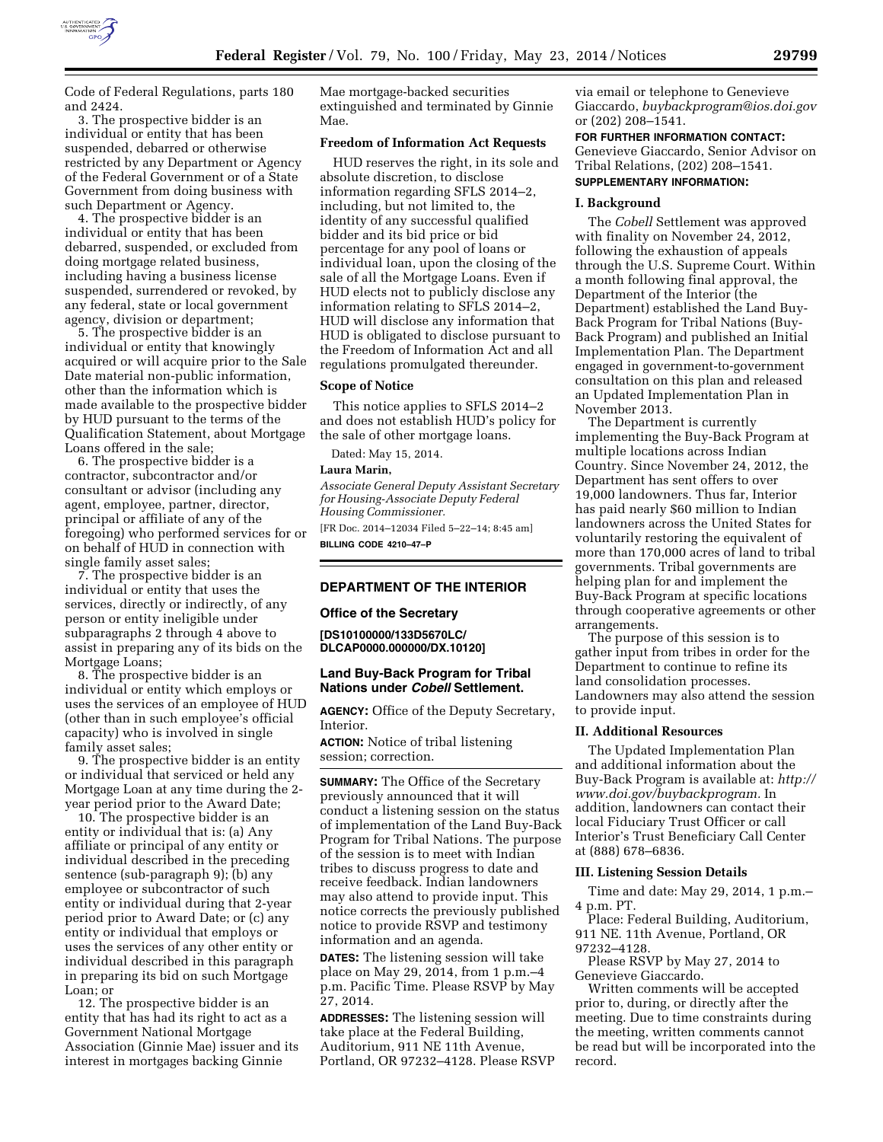

Code of Federal Regulations, parts 180 and 2424.

3. The prospective bidder is an individual or entity that has been suspended, debarred or otherwise restricted by any Department or Agency of the Federal Government or of a State Government from doing business with such Department or Agency.

4. The prospective bidder is an individual or entity that has been debarred, suspended, or excluded from doing mortgage related business, including having a business license suspended, surrendered or revoked, by any federal, state or local government agency, division or department;

5. The prospective bidder is an individual or entity that knowingly acquired or will acquire prior to the Sale Date material non-public information, other than the information which is made available to the prospective bidder by HUD pursuant to the terms of the Qualification Statement, about Mortgage Loans offered in the sale;

6. The prospective bidder is a contractor, subcontractor and/or consultant or advisor (including any agent, employee, partner, director, principal or affiliate of any of the foregoing) who performed services for or on behalf of HUD in connection with single family asset sales;

7. The prospective bidder is an individual or entity that uses the services, directly or indirectly, of any person or entity ineligible under subparagraphs 2 through 4 above to assist in preparing any of its bids on the Mortgage Loans;

8. The prospective bidder is an individual or entity which employs or uses the services of an employee of HUD (other than in such employee's official capacity) who is involved in single family asset sales;

9. The prospective bidder is an entity or individual that serviced or held any Mortgage Loan at any time during the 2 year period prior to the Award Date;

10. The prospective bidder is an entity or individual that is: (a) Any affiliate or principal of any entity or individual described in the preceding sentence (sub-paragraph 9); (b) any employee or subcontractor of such entity or individual during that 2-year period prior to Award Date; or (c) any entity or individual that employs or uses the services of any other entity or individual described in this paragraph in preparing its bid on such Mortgage Loan; or

12. The prospective bidder is an entity that has had its right to act as a Government National Mortgage Association (Ginnie Mae) issuer and its interest in mortgages backing Ginnie

Mae mortgage-backed securities extinguished and terminated by Ginnie Mae.

#### **Freedom of Information Act Requests**

HUD reserves the right, in its sole and absolute discretion, to disclose information regarding SFLS 2014–2, including, but not limited to, the identity of any successful qualified bidder and its bid price or bid percentage for any pool of loans or individual loan, upon the closing of the sale of all the Mortgage Loans. Even if HUD elects not to publicly disclose any information relating to SFLS 2014–2, HUD will disclose any information that HUD is obligated to disclose pursuant to the Freedom of Information Act and all regulations promulgated thereunder.

#### **Scope of Notice**

This notice applies to SFLS 2014–2 and does not establish HUD's policy for the sale of other mortgage loans.

Dated: May 15, 2014.

# **Laura Marin,**

*Associate General Deputy Assistant Secretary for Housing-Associate Deputy Federal Housing Commissioner.* 

[FR Doc. 2014–12034 Filed 5–22–14; 8:45 am] **BILLING CODE 4210–47–P** 

### **DEPARTMENT OF THE INTERIOR**

#### **Office of the Secretary**

**[DS10100000/133D5670LC/ DLCAP0000.000000/DX.10120]** 

# **Land Buy-Back Program for Tribal Nations under** *Cobell* **Settlement.**

**AGENCY:** Office of the Deputy Secretary, Interior.

**ACTION:** Notice of tribal listening session; correction.

**SUMMARY:** The Office of the Secretary previously announced that it will conduct a listening session on the status of implementation of the Land Buy-Back Program for Tribal Nations. The purpose of the session is to meet with Indian tribes to discuss progress to date and receive feedback. Indian landowners may also attend to provide input. This notice corrects the previously published notice to provide RSVP and testimony information and an agenda.

**DATES:** The listening session will take place on May 29, 2014, from 1 p.m.–4 p.m. Pacific Time. Please RSVP by May 27, 2014.

**ADDRESSES:** The listening session will take place at the Federal Building, Auditorium, 911 NE 11th Avenue, Portland, OR 97232–4128. Please RSVP

via email or telephone to Genevieve Giaccardo, *[buybackprogram@ios.doi.gov](mailto:buybackprogram@ios.doi.gov)*  or (202) 208–1541.

#### **FOR FURTHER INFORMATION CONTACT:**

Genevieve Giaccardo, Senior Advisor on Tribal Relations, (202) 208–1541.

# **SUPPLEMENTARY INFORMATION:**

# **I. Background**

The *Cobell* Settlement was approved with finality on November 24, 2012, following the exhaustion of appeals through the U.S. Supreme Court. Within a month following final approval, the Department of the Interior (the Department) established the Land Buy-Back Program for Tribal Nations (Buy-Back Program) and published an Initial Implementation Plan. The Department engaged in government-to-government consultation on this plan and released an Updated Implementation Plan in November 2013.

The Department is currently implementing the Buy-Back Program at multiple locations across Indian Country. Since November 24, 2012, the Department has sent offers to over 19,000 landowners. Thus far, Interior has paid nearly \$60 million to Indian landowners across the United States for voluntarily restoring the equivalent of more than 170,000 acres of land to tribal governments. Tribal governments are helping plan for and implement the Buy-Back Program at specific locations through cooperative agreements or other arrangements.

The purpose of this session is to gather input from tribes in order for the Department to continue to refine its land consolidation processes. Landowners may also attend the session to provide input.

### **II. Additional Resources**

The Updated Implementation Plan and additional information about the Buy-Back Program is available at: *[http://](http://www.doi.gov/buybackprogram)  [www.doi.gov/buybackprogram.](http://www.doi.gov/buybackprogram)* In addition, landowners can contact their local Fiduciary Trust Officer or call Interior's Trust Beneficiary Call Center at (888) 678–6836.

# **III. Listening Session Details**

Time and date: May 29, 2014, 1 p.m.– 4 p.m. PT.

Place: Federal Building, Auditorium, 911 NE. 11th Avenue, Portland, OR 97232–4128.

Please RSVP by May 27, 2014 to Genevieve Giaccardo.

Written comments will be accepted prior to, during, or directly after the meeting. Due to time constraints during the meeting, written comments cannot be read but will be incorporated into the record.